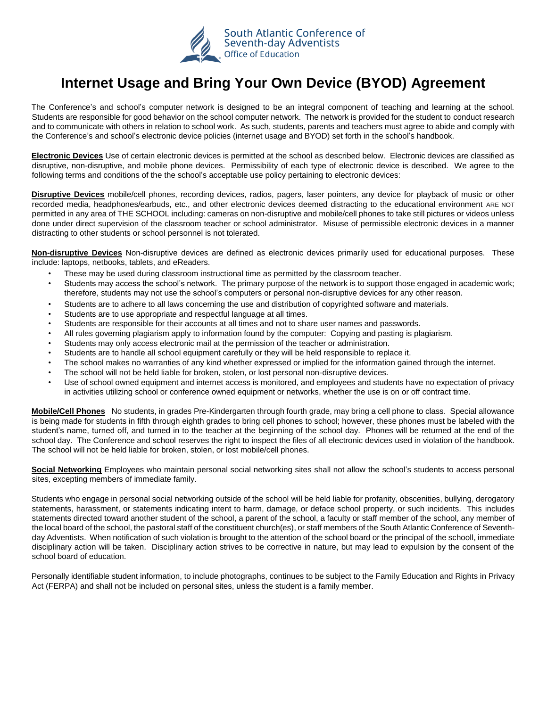

## **Internet Usage and Bring Your Own Device (BYOD) Agreement**

The Conference's and school's computer network is designed to be an integral component of teaching and learning at the school. Students are responsible for good behavior on the school computer network. The network is provided for the student to conduct research and to communicate with others in relation to school work. As such, students, parents and teachers must agree to abide and comply with the Conference's and school's electronic device policies (internet usage and BYOD) set forth in the school's handbook.

**Electronic Devices** Use of certain electronic devices is permitted at the school as described below. Electronic devices are classified as disruptive, non-disruptive, and mobile phone devices. Permissibility of each type of electronic device is described. We agree to the following terms and conditions of the the school's acceptable use policy pertaining to electronic devices:

**Disruptive Devices** mobile/cell phones, recording devices, radios, pagers, laser pointers, any device for playback of music or other recorded media, headphones/earbuds, etc., and other electronic devices deemed distracting to the educational environment ARE NOT permitted in any area of THE SCHOOL including: cameras on non-disruptive and mobile/cell phones to take still pictures or videos unless done under direct supervision of the classroom teacher or school administrator. Misuse of permissible electronic devices in a manner distracting to other students or school personnel is not tolerated.

**Non-disruptive Devices** Non-disruptive devices are defined as electronic devices primarily used for educational purposes. These include: laptops, netbooks, tablets, and eReaders.

- These may be used during classroom instructional time as permitted by the classroom teacher.
- Students may access the school's network. The primary purpose of the network is to support those engaged in academic work; therefore, students may not use the school's computers or personal non-disruptive devices for any other reason.
- Students are to adhere to all laws concerning the use and distribution of copyrighted software and materials.
- Students are to use appropriate and respectful language at all times.
- Students are responsible for their accounts at all times and not to share user names and passwords.
- All rules governing plagiarism apply to information found by the computer: Copying and pasting is plagiarism.
- Students may only access electronic mail at the permission of the teacher or administration.
- Students are to handle all school equipment carefully or they will be held responsible to replace it.
- The school makes no warranties of any kind whether expressed or implied for the information gained through the internet.
- The school will not be held liable for broken, stolen, or lost personal non-disruptive devices.
- Use of school owned equipment and internet access is monitored, and employees and students have no expectation of privacy in activities utilizing school or conference owned equipment or networks, whether the use is on or off contract time.

**Mobile/Cell Phones** No students, in grades Pre-Kindergarten through fourth grade, may bring a cell phone to class. Special allowance is being made for students in fifth through eighth grades to bring cell phones to school; however, these phones must be labeled with the student's name, turned off, and turned in to the teacher at the beginning of the school day. Phones will be returned at the end of the school day. The Conference and school reserves the right to inspect the files of all electronic devices used in violation of the handbook. The school will not be held liable for broken, stolen, or lost mobile/cell phones.

**Social Networking** Employees who maintain personal social networking sites shall not allow the school's students to access personal sites, excepting members of immediate family.

Students who engage in personal social networking outside of the school will be held liable for profanity, obscenities, bullying, derogatory statements, harassment, or statements indicating intent to harm, damage, or deface school property, or such incidents. This includes statements directed toward another student of the school, a parent of the school, a faculty or staff member of the school, any member of the local board of the school, the pastoral staff of the constituent church(es), or staff members of the South Atlantic Conference of Seventhday Adventists. When notification of such violation is brought to the attention of the school board or the principal of the schooll, immediate disciplinary action will be taken. Disciplinary action strives to be corrective in nature, but may lead to expulsion by the consent of the school board of education.

Personally identifiable student information, to include photographs, continues to be subject to the Family Education and Rights in Privacy Act (FERPA) and shall not be included on personal sites, unless the student is a family member.